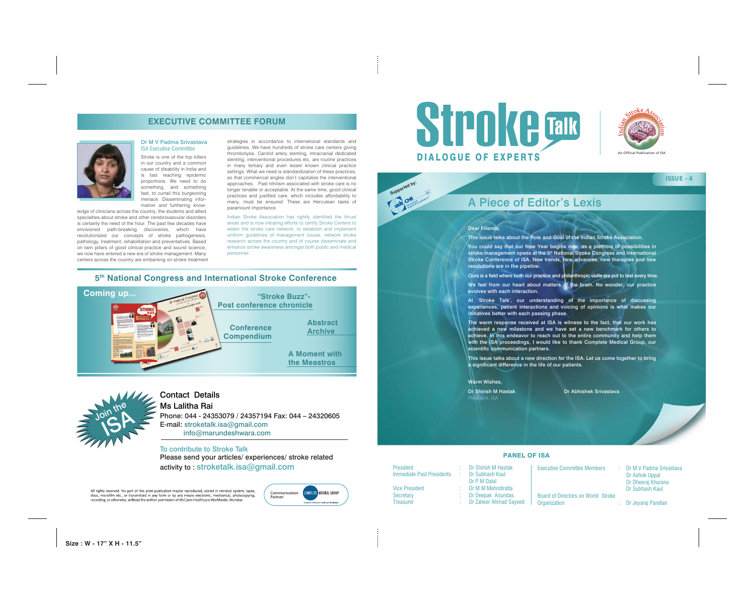



### PANEL OF ISA

Dr P M Dalal

President : Dr Shirish M Hastak Immediate Past Presidents : Dr Subhash Kaul Vice President : Dr M M Mehndiratta Secretary : Dr Deepak Arjundas Treasurer : Dr Zaheer Ahmad Sayeed

Executive Committee Members : Dr M V Padma Srivastava Dr Ashok Uppal Dr Dheeraj Khurana Dr Subhash Kaul

Board of Directors on World Stroke Organization : Dr Jeyaraj Pandian

### **ISSUE - 4**



### To contribute to Stroke Talk

Please send your articles/ experiences/ stroke related activity to : stroketalk.isa@gmail.com

All rights reserved. No part of this print publication maybe reproduced, stored in retrieval system, tapes, discs, microfilm etc., or transmitted in any form or by any means electronic, mechanical, photocopying, recording, or otherwise, without the written permission of McCann Healthcare Worldwide, Mumbai

# Contact Details

Ms Lalitha Rai Phone: 044 - 24353079 / 24357194 Fax: 044 – 24320605 E-mail: stroketalk.isa@gmail.com info@marundeshwara.com

### Dear Friends,

This issue talks about the Role and Goal of the Indian Stroke Association.

You could say that our New Year begins now, as a plethora of possibilities in stroke management opens at the 5<sup>th</sup> National Stroke Congress and International Stroke Conference of ISA. New trends, new advances, new therapies and new resolutions are in the pipeline.

Ours is a field where both our practice and philanthropic skills are put to test every time.

**Example 2** Interactional menace. Disseminating infor-<br>menus menace. Disseminating infor-Stroke is one of the top killers in our country and a common cause of disability in India and is fast reaching epidemic proportions. We need to do something, and something fast, to curtail this burgeoning mation and furthering know-

> We feel from our heart about matters of the brain. No wonder, our practice evolves with each interaction.

> At 'Stroke Talk', our understanding of the importance of discussing experiences, patient interactions and voicing of opinions is what makes our initiatives better with each passing phase.

> The warm response received at ISA is witness to the fact, that our work has achieved a new milestone and we have set a new benchmark for others to achieve. In this endeavor to reach out to the entire community and help them with the ISA proceedings, I would like to thank Complete Medical Group, our scientific communication partners.

> This issue talks about a new direction for the ISA. Let us come together to bring a significant difference in the life of our patients.

#### Warm Wishes,

President, ISA

Dr Shirish M Hastak Dr Abhishek Srivastava

**Size : W - 17" X H - 11.5"**

### Dr M V Padma Srivastava ISA Executive Committee

ledge of clinicians across the country, the students and allied specialties about stroke and other cerebrovascular disorders is certainly the need of the hour. The past few decades have envisioned path-breaking discoveries, which have revolutionized our concepts of stroke pathogenesis, pathology, treatment, rehabilitation and preventatives. Based on twin pillars of good clinical practice and sound science, we now have entered a new era of stroke management. Many centers across the country are embarking on stroke treatment

## **EXECUTIVE COMMITTEE FORUM**



|  |  | 5th National Congress and International Stroke Conference |  |
|--|--|-----------------------------------------------------------|--|
|  |  |                                                           |  |

strategies in accordance to international standards and guidelines. We have hundreds of stroke care centers giving thrombolysis. Carotid artery stenting, intracranial dedicated stenting, interventional procedures etc. are routine practices in many tertiary and even lesser known clinical practice settings. What we need is standardization of these practices, so that commercial angles don't capitalize the interventional approaches. Past nihilism associated with stroke care is no longer tenable or acceptable. At the same time, good clinical practices and justified care, which includes affordability to many, must be ensured. These are Herculean tasks of paramount importance.

Indian Stroke Association has rightly identified the thrust areas and is now initiating efforts to certify Stroke Centers to widen the stroke care network, to establish and implement uniform guidelines of management issues, network stroke research across the country and of course disseminate and enhance stroke awareness amongst both public and medical personnel.



# A Piece of Editor's Lexis



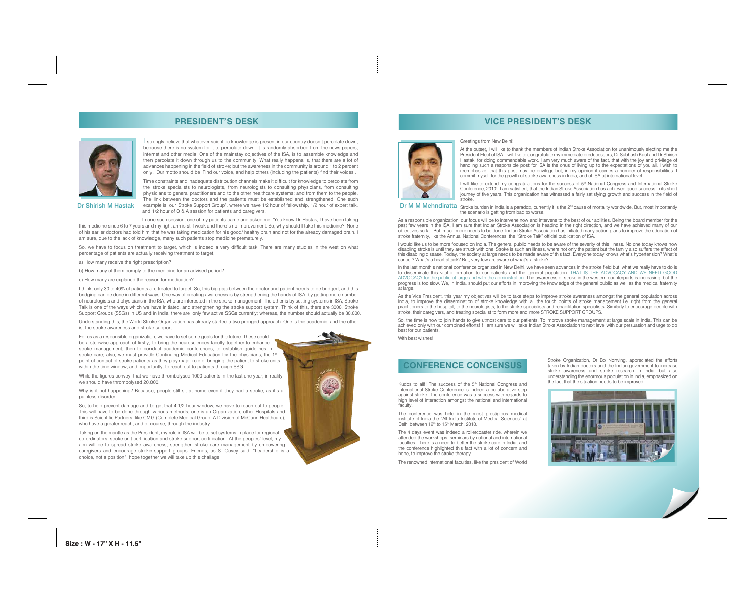strongly believe that whatever scientific knowledge is present in our country doesn't percolate down, because there is no system for it to percolate down. It is randomly absorbed from the news papers, internet and other media. One of the mainstay objectives of the ISA, is to assemble knowledge and then percolate it down through us to the community. What really happens is, that there are a lot of advances happening in the field of stroke; but the awareness in the community is around 1 to 2 percent only. Our motto should be 'Find our voice, and help others (including the patients) find their voices'.

Time constraints and inadequate distribution channels make it difficult for knowledge to percolate from the stroke specialists to neurologists, from neurologists to consulting physicians, from consulting physicians to general practitioners and to the other healthcare systems; and from them to the people. The link between the doctors and the patients must be established and strengthened. One such example is, our 'Stroke Support Group', where we have 1/2 hour of fellowship, 1/2 hour of expert talk, and 1/2 hour of Q & A session for patients and caregivers.

In one such session, one of my patients came and asked me, 'You know Dr Hastak, I have been taking this medicine since 6 to 7 years and my right arm is still weak and there's no improvement. So, why should I take this medicine?' None of his earlier doctors had told him that he was taking medication for his good/ healthy brain and not for the already damaged brain. I am sure, due to the lack of knowledge, many such patients stop medicine prematurely.

So, we have to focus on treatment to target, which is indeed a very difficult task. There are many studies in the west on what percentage of patients are actually receiving treatment to target,

a) How many receive the right prescription?

b) How many of them comply to the medicine for an advised period?

c) How many are explaned the reason for medication?

I think, only 30 to 40% of patients are treated to target. So, this big gap between the doctor and patient needs to be bridged, and this bridging can be done in different ways. One way of creating awareness is by strengthening the hands of ISA, by getting more number of neurologists and physicians in the ISA, who are interested in the stroke management. The other is by setting systems in ISA; Stroke Talk is one of the ways which we have initiated, and strengthening the stroke support system. Think of this, there are 3000, Stroke Support Groups (SSGs) in US and in India, there are only few active SSGs currently; whereas, the number should actually be 30,000. I will like to extend my congratulations for the success of 5<sup>th</sup> National Congress and International Stroke Conference, 2010! I am satisfied, that the Indian Stroke Association has achieved good success in its short journey of five years. This organization has witnessed a fairly satisfying growth and success in the field of

Understanding this, the World Stroke Organization has already started a two pronged approach. One is the academic, and the other is, the stroke awareness and stroke support.

Dr M M Mehndiratta Stroke burden in India is a paradox, currently it is the 2<sup>nd</sup> cause of mortality worldwide. But, most importantly the scenario is getting from bad to worse.

For us as a responsible organization, we have to set some goals for the future. These could be a stepwise approach of firstly, to bring the neurosciences faculty together to enhance stroke management, then to conduct academic conferences, to establish guidelines in stroke care; also, we must provide Continuing Medical Education for the physicians, the 1st point of contact of stroke patients as they play major role of bringing the patient to stroke units within the time window, and importantly, to reach out to patients through SSG.

While the figures convey, that we have thrombolysed 1000 patients in the last one year; in reality we should have thrombolysed 20,000.

Why is it not happening? Because, people still sit at home even if they had a stroke, as it's a painless disorder.

So, to help prevent damage and to get that 4 1/2 hour window, we have to reach out to people. This will have to be done through various methods; one is an Organization, other Hospitals and third is Scientific Partners, like CMG (Complete Medical Group, A Division of McCann Healthcare), who have a greater reach, and of course, through the industry.

Kudos to all!! The success of the 5<sup>th</sup> National Congress and International Stroke Conference is indeed a collaborative step against stroke. The conference was a success with regards to high level of interaction amongst the national and international faculty.

The conference was held in the most prestigious medical institute of India the "All India Institute of Medical Sciences" at Delhi between 12<sup>th</sup> to 15<sup>th</sup> March, 2010.

Taking on the mantle as the President, my role in ISA will be to set systems in place for regional co-ordinators, stroke unit certification and stroke support certification. At the peoples' level, my aim will be to spread stroke awareness, strengthen stroke care management by empowering caregivers and encourage stroke support groups. Friends, as S. Covey said, "Leadership is a choice, not a position", hope together we will take up this challage.







Dr Shirish M Hastak

#### Greetings from New Delhi!

At the outset, I will like to thank the members of Indian Stroke Association for unanimously electing me the President Elect of ISA. I will like to congratulate my immediate predecessors, Dr Subhash Kaul and Dr Shirish Hastak, for doing commendable work. I am very much aware of the fact, that with the joy and privilege of handling such a responsible post for ISA is the onus of living up to the expectations of you all. I wish to reemphasize, that this post may be privilege but, in my opinion it carries a number of responsibilities. I commit myself for the growth of stroke awareness in India, and of ISA at international level.

stroke.

As a responsible organization, our focus will be to intervene now and intervene to the best of our abilities. Being the board member for the past few years in the ISA, I am sure that Indian Stroke Association is heading in the right direction, and we have achieved many of our objectives so far. But, much more needs to be done. Indian Stroke Association has initiated many action plans to improve the education of stroke fraternity, like the Annual National Conferences, the "Stroke Talk" official publication of ISA.

I would like us to be more focused on India. The general public needs to be aware of the severity of this illness. No one today knows how disabling stroke is until they are struck with one. Stroke is such an illness, where not only the patient but the family also suffers the effect of this disabling disease. Today, the society at large needs to be made aware of this fact. Everyone today knows what's hypertension? What's cancer? What's a heart attack? But, very few are aware of what's a stroke?

In the last month's national conference organized in New Delhi, we have seen advances in the stroke field but, what we really have to do is to disseminate this vital information to our patients and the general population. THAT IS THE ADVOCACY AND WE NEED GOOD ADVOCACY for the public at large and with the administration. The awareness of stroke in the western counterparts is increasing, but the progress is too slow. We, in India, should put our efforts in improving the knowledge of the general public as well as the medical fraternity at large.

As the Vice President, this year my objectives will be to take steps to improve stroke awareness amongst the general population across India, to improve the dissemination of stroke knowledge with all the touch points of stroke management i.e. right from the general practitioners to the hospital, to the neurologists, to the stroke specialists and rehabilitation specialists. Similarly to encourage people with stroke, their caregivers, and treating specialist to form more and more STROKE SUPPORT GROUPS.

So, the time is now to join hands to give utmost care to our patients. To improve stroke management at large scale in India. This can be achieved only with our combined efforts!!! I am sure we will take Indian Stroke Association to next level with our persuasion and urge to do

best for our patients.

With best wishes!

The 4 days event was indeed a rollercoaster ride, wherein we attended the workshops, seminars by national and international faculties. There is a need to better the stroke care in India, and the conference highlighted this fact with a lot of concern and hope, to improve the stroke therapy. The renowned international faculties, like the president of World Stroke Organization, Dr Bo Norrving, appreciated the efforts taken by Indian doctors and the Indian government to increase stroke awareness and stroke research in India, but also understanding the enormous population in India, emphasized on the fact that the situation needs to be improved.



## **PRESIDENT'S DESK VICE PRESIDENT'S DESK**

### **CONFERENCE CONCENSUS**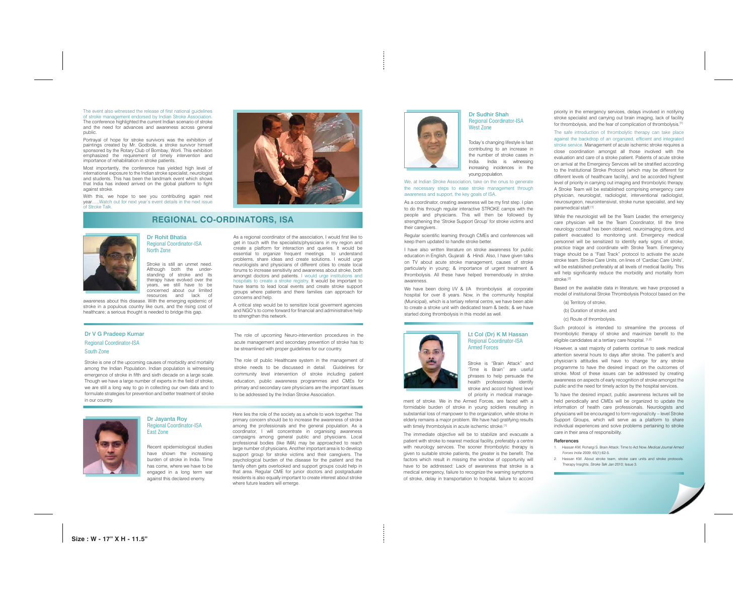The event also witnessed the release of first national guidelines of stroke management endorsed by Indian Stroke Association. The conference highlighted the current Indian scenario of stroke and the need for advances and awareness across general public.

Portrayal of hope for stroke survivors was the exhibition of paintings created by Mr. Godbole, a stroke survivor himself sponsored by the Rotary Club of Bombay, Worli. This exhibition emphasized the requirement of timely intervention and importance of rehabilitation in stroke patients.

Most importantly, the conference has yielded high level of international exposure to the Indian stroke specialist, neurologist and students. This has been the landmark event which shows that India has indeed arrived on the global platform to fight against stroke.

With this, we hope to see you contributing again next year…..Watch out for next year's event details in the next issue of Stroke Talk.



Dr Rohit Bhatia Regional Coordinator-ISA North Zone

Stroke is still an unmet need. Although both the understanding of stroke and its therapy have evolved over the years, we still have to be concerned about our limited resources and lack of

awareness about this disease. With the emerging epidemic of stroke in a populous country like ours, and the rising cost of healthcare; a serious thought is needed to bridge this gap.

As a regional coordinator of the association, I would first like to get in touch with the specialists/physicians in my region and create a platform for interaction and queries. It would be essential to organize frequent meetings to understand problems, share ideas and create solutions. I would urge neurologists and physicians of different cities to create local forums to increase sensitivity and awareness about stroke, both amongst doctors and patients. I would urge institutions and hospitals to create a stroke registry. It would be important to have teams to lead local events and create stroke support groups where patients and there families can approach for concerns and help.

A critical step would be to sensitize local goverment agencies and NGO's to come forward for financial and administrative help to strengthen this network.

### Dr V G Pradeep Kumar Regional Coordinator-ISA South Zone

Stroke is one of the upcoming causes of morbidity and mortality among the Indian Population. Indian population is witnessing emergence of stroke in fifth and sixth decade on a large scale. Though we have a large number of experts in the field of stroke, we are still a long way to go in collecting our own data and to formulate strategies for prevention and better treatment of stroke in our country.

We have been doing I/V & I/A thrombolysis at corporate hospital for over 8 years. Now, in the community hospital (Municipal), which is a tertiary referral centre, we have been able to create a stroke unit with dedicated team & beds; & we have started doing thrombolysis in this model as well.



The role of upcoming Neuro-intervention procedures in the acute management and secondary prevention of stroke has to be streamlined with proper guidelines for our country.

The role of public Healthcare system in the management of stroke needs to be discussed in detail. Guidelines for community level intervention of stroke including patient education, public awareness programmes and CMEs for primary and secondary care physicians are the important issues to be addressed by the Indian Stroke Association.



### Dr Jayanta Roy Regional Coordinator-ISA East Zone

Recent epidemiological studies have shown the increasing burden of stroke in India. Time has come, where we have to be engaged in a long term war against this declared enemy.

While the neurologist will be the Team Leader, the emergency care physician will be the Team Coordinator, till the time neurology consult has been obtained, neuroimaging done, and patient evacuated to monitoring unit. Emergency medical personnel will be sensitized to identify early signs of stroke, practice triage and coordinate with Stroke Team. Emergency triage should be a "Fast Track" protocol to activate the acute stroke team. Stroke Care Units, on lines of 'Cardiac Care Units', will be established preferably at all levels of medical facility. This will help significantly reduce the morbidity and mortality from stroke.<sup>[2]</sup>

Here lies the role of the society as a whole to work together. The primary concern should be to increase the awareness of stroke among the professionals and the general population. As a coordinator, I will concentrate in organising awareness campaigns among general public and physicians. Local professional bodies (like IMA) may be approached to reach large number of physicians. Another important area is to develop support group for stroke victims and their caregivers. The psychological burden of the disease for the patient and the family often gets overlooked and support groups could help in that area. Regular CME for junior doctors and postgraduate residents is also equally important to create interest about stroke where future leaders will emerge.



### Dr Sudhir Shah Regional Coordinator-ISA West Zone

Such protocol is intended to streamline the process of thrombolytic therapy of stroke and maximize benefit to the eligible candidates at a tertiary care hospital. [1,2]

Today's changing lifestyle is fast contributing to an increase in the number of stroke cases in India. India is witnessing increasing incidences in the young population.

We, at Indian Stroke Association, take on the onus to generate the necessary steps to ease stroke management through awareness and support, the key goals of ISA. As a coordinator, creating awareness will be my first step. I plan to do this through regular interactive STROKE camps with the people and physicians. This will then be followed by strengthening the 'Stroke Support Group' for stroke victims and their caregivers.

Regular scientific learning through CMEs and conferences will keep them updated to handle stroke better. I have also written literature on stroke awareness for public education in English, Gujarati & Hindi. Also, I have given talks on TV about acute stroke management, causes of stroke particularly in young; & importance of urgent treatment & thrombolysis. All these have helped tremendously in stroke awareness.

#### Lt Col (Dr) K M Hassan Regional Coordinator-ISA Armed Forces

Stroke is "Brain Attack" and 'Time is Brain" are useful phrases to help persuade the health professionals identify stroke and accord highest level of priority in medical manage-

ment of stroke. We in the Armed Forces, are faced with a formidable burden of stroke in young soldiers resulting in substantial loss of manpower to the organization, while stroke in elderly remains a major problem. We have had gratifying results with timely thrombolysis in acute ischemic stroke.<sup>[1]</sup> The immediate objective will be to stabilize and evacuate a

patient with stroke to nearest medical facility, preferably a centre with neurology services. The sooner thrombolytic therapy is given to suitable stroke patients, the greater is the benefit. The factors which result in missing the window of opportunity will have to be addressed: Lack of awareness that stroke is a medical emergency, failure to recognize the warning symptoms of stroke, delay in transportation to hospital, failure to accord

## **REGIONAL CO-ORDINATORS, ISA**



priority in the emergency services, delays involved in notifying stroke specialist and carrying out brain imaging, lack of facility for thrombolysis, and the fear of complication of thrombolysis.[1]

The safe introduction of thrombolytic therapy can take place against the backdrop of an organized, efficient and integrated stroke service. Management of acute ischemic stroke requires a close coordination amongst all those involved with the evaluation and care of a stroke patient. Patients of acute stroke on arrival at the Emergency Services will be stratified according to the Institutional Stroke Protocol (which may be different for different levels of healthcare facility), and be accorded highest level of priority in carrying out imaging and thrombolytic therapy. A Stroke Team will be established comprising emergency care physician, neurologist, radiologist, interventional radiologist, neurosurgeon, neurointensivist, stroke nurse specialist, and key paramedical staff.[1]

Based on the available data in literature, we have proposed a model of institutional Stroke Thrombolysis Protocol based on the

- (a) Territory of stroke,
- (b) Duration of stroke, and
- (c) Route of thrombolysis.

However, a vast majority of patients continue to seek medical attention several hours to days after stroke. The patient's and physician's attitudes will have to change for any stroke programme to have the desired impact on the outcomes of stroke. Most of these issues can be addressed by creating awareness on aspects of early recognition of stroke amongst the public and the need for timely action by the hospital services.

To have the desired impact, public awareness lectures will be held periodically and CMEs will be organized to update the information of health care professionals. Neurologists and physicians will be encouraged to form regional/city – level Stroke Support Groups, which will serve as a platform to share individual experiences and solve problems pertaining to stroke care in their area of responsibility.

#### References

- 1. Hassan KM, Rohatgi S. Brain Attack: Time to Act Now. *Medical Journal Armed Forces India* 2009; 65(1):62-5.
- 2. Hassan KM. About stroke team, stroke care units and stroke protocols. Therapy Insights. *Stroke Talk* Jan 2010; Issue 3.